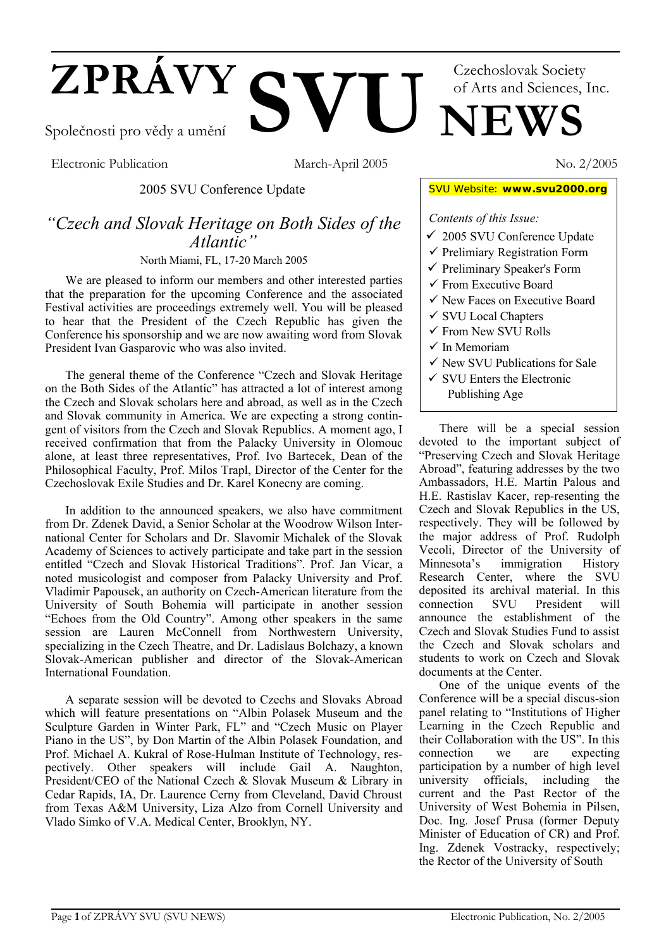# **ZPRÁVY SVU UNEWS** Společnosti pro vědy a umění Czechoslovak Society of Arts and Sciences, Inc.

Electronic Publication March-April 2005 No. 2/2005

2005 SVU Conference Update

# *"Czech and Slovak Heritage on Both Sides of the Atlantic"*

North Miami, FL, 17-20 March 2005

We are pleased to inform our members and other interested parties that the preparation for the upcoming Conference and the associated Festival activities are proceedings extremely well. You will be pleased to hear that the President of the Czech Republic has given the Conference his sponsorship and we are now awaiting word from Slovak President Ivan Gasparovic who was also invited.

The general theme of the Conference "Czech and Slovak Heritage on the Both Sides of the Atlantic" has attracted a lot of interest among the Czech and Slovak scholars here and abroad, as well as in the Czech and Slovak community in America. We are expecting a strong contingent of visitors from the Czech and Slovak Republics. A moment ago, I received confirmation that from the Palacky University in Olomouc alone, at least three representatives, Prof. Ivo Bartecek, Dean of the Philosophical Faculty, Prof. Milos Trapl, Director of the Center for the Czechoslovak Exile Studies and Dr. Karel Konecny are coming.

In addition to the announced speakers, we also have commitment from Dr. Zdenek David, a Senior Scholar at the Woodrow Wilson International Center for Scholars and Dr. Slavomir Michalek of the Slovak Academy of Sciences to actively participate and take part in the session entitled "Czech and Slovak Historical Traditions". Prof. Jan Vicar, a noted musicologist and composer from Palacky University and Prof. Vladimir Papousek, an authority on Czech-American literature from the University of South Bohemia will participate in another session "Echoes from the Old Country". Among other speakers in the same session are Lauren McConnell from Northwestern University, specializing in the Czech Theatre, and Dr. Ladislaus Bolchazy, a known Slovak-American publisher and director of the Slovak-American International Foundation.

A separate session will be devoted to Czechs and Slovaks Abroad which will feature presentations on "Albin Polasek Museum and the Sculpture Garden in Winter Park, FL" and "Czech Music on Player Piano in the US", by Don Martin of the Albin Polasek Foundation, and Prof. Michael A. Kukral of Rose-Hulman Institute of Technology, respectively. Other speakers will include Gail A. Naughton, President/CEO of the National Czech & Slovak Museum & Library in Cedar Rapids, IA, Dr. Laurence Cerny from Cleveland, David Chroust from Texas A&M University, Liza Alzo from Cornell University and Vlado Simko of V.A. Medical Center, Brooklyn, NY.

SVU Website: **www.svu2000.org**

# *Contents of this Issue:*

- $\checkmark$  2005 SVU Conference Update
- $\checkmark$  Prelimiary Registration Form
- $\checkmark$  Preliminary Speaker's Form
- $\checkmark$  From Executive Board
- $\checkmark$  New Faces on Executive Board
- $\checkmark$  SVU Local Chapters
- $\checkmark$  From New SVU Rolls
- $\checkmark$  In Memoriam
- $\checkmark$  New SVU Publications for Sale
- $\checkmark$  SVU Enters the Electronic Publishing Age

There will be a special session devoted to the important subject of "Preserving Czech and Slovak Heritage Abroad", featuring addresses by the two Ambassadors, H.E. Martin Palous and H.E. Rastislav Kacer, rep-resenting the Czech and Slovak Republics in the US, respectively. They will be followed by the major address of Prof. Rudolph Vecoli, Director of the University of Minnesota's immigration History Research Center, where the SVU deposited its archival material. In this connection SVU President will announce the establishment of the Czech and Slovak Studies Fund to assist the Czech and Slovak scholars and students to work on Czech and Slovak documents at the Center.

One of the unique events of the Conference will be a special discus-sion panel relating to "Institutions of Higher Learning in the Czech Republic and their Collaboration with the  $\hat{U}S$ ". In this connection we are expecting participation by a number of high level university officials, including the current and the Past Rector of the University of West Bohemia in Pilsen, Doc. Ing. Josef Prusa (former Deputy Minister of Education of CR) and Prof. Ing. Zdenek Vostracky, respectively; the Rector of the University of South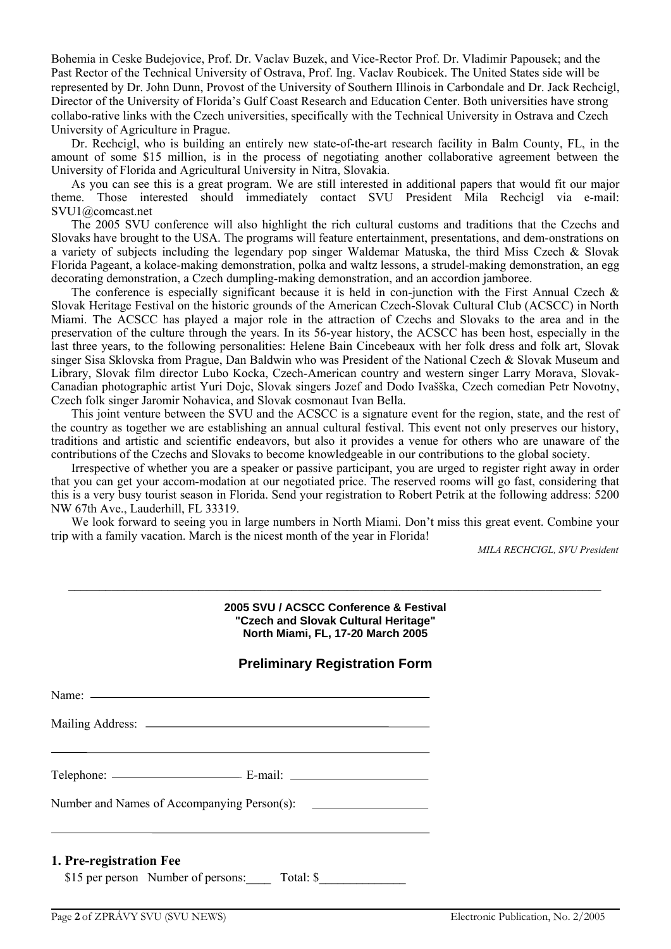Bohemia in Ceske Budejovice, Prof. Dr. Vaclav Buzek, and Vice-Rector Prof. Dr. Vladimir Papousek; and the Past Rector of the Technical University of Ostrava, Prof. Ing. Vaclav Roubicek. The United States side will be represented by Dr. John Dunn, Provost of the University of Southern Illinois in Carbondale and Dr. Jack Rechcigl, Director of the University of Florida's Gulf Coast Research and Education Center. Both universities have strong collabo-rative links with the Czech universities, specifically with the Technical University in Ostrava and Czech University of Agriculture in Prague.

Dr. Rechcigl, who is building an entirely new state-of-the-art research facility in Balm County, FL, in the amount of some \$15 million, is in the process of negotiating another collaborative agreement between the University of Florida and Agricultural University in Nitra, Slovakia.

As you can see this is a great program. We are still interested in additional papers that would fit our major theme. Those interested should immediately contact SVU President Mila Rechcigl via e-mail: SVU1@comcast.net

The 2005 SVU conference will also highlight the rich cultural customs and traditions that the Czechs and Slovaks have brought to the USA. The programs will feature entertainment, presentations, and dem-onstrations on a variety of subjects including the legendary pop singer Waldemar Matuska, the third Miss Czech & Slovak Florida Pageant, a kolace-making demonstration, polka and waltz lessons, a strudel-making demonstration, an egg decorating demonstration, a Czech dumpling-making demonstration, and an accordion jamboree.

The conference is especially significant because it is held in con-junction with the First Annual Czech  $\&$ Slovak Heritage Festival on the historic grounds of the American Czech-Slovak Cultural Club (ACSCC) in North Miami. The ACSCC has played a major role in the attraction of Czechs and Slovaks to the area and in the preservation of the culture through the years. In its 56-year history, the ACSCC has been host, especially in the last three years, to the following personalities: Helene Bain Cincebeaux with her folk dress and folk art, Slovak singer Sisa Sklovska from Prague, Dan Baldwin who was President of the National Czech & Slovak Museum and Library, Slovak film director Lubo Kocka, Czech-American country and western singer Larry Morava, Slovak-Canadian photographic artist Yuri Dojc, Slovak singers Jozef and Dodo Ivašška, Czech comedian Petr Novotny, Czech folk singer Jaromir Nohavica, and Slovak cosmonaut Ivan Bella.

This joint venture between the SVU and the ACSCC is a signature event for the region, state, and the rest of the country as together we are establishing an annual cultural festival. This event not only preserves our history, traditions and artistic and scientific endeavors, but also it provides a venue for others who are unaware of the contributions of the Czechs and Slovaks to become knowledgeable in our contributions to the global society.

Irrespective of whether you are a speaker or passive participant, you are urged to register right away in order that you can get your accom-modation at our negotiated price. The reserved rooms will go fast, considering that this is a very busy tourist season in Florida. Send your registration to Robert Petrik at the following address: 5200 NW 67th Ave., Lauderhill, FL 33319.

We look forward to seeing you in large numbers in North Miami. Don't miss this great event. Combine your trip with a family vacation. March is the nicest month of the year in Florida!

*MILA RECHCIGL, SVU President*

#### **2005 SVU / ACSCC Conference & Festival "Czech and Slovak Cultural Heritage" North Miami, FL, 17-20 March 2005**

*––––––––––––––––––––––––––––––––––––––––––––––––––––––––––––––––––––––––––––––––––––––*

# **Preliminary Registration Form**

| Name: $\frac{1}{2}$ |  |
|---------------------|--|
|                     |  |
|                     |  |
|                     |  |
|                     |  |

#### **1. Pre-registration Fee**

\$15 per person Number of persons: Total: \$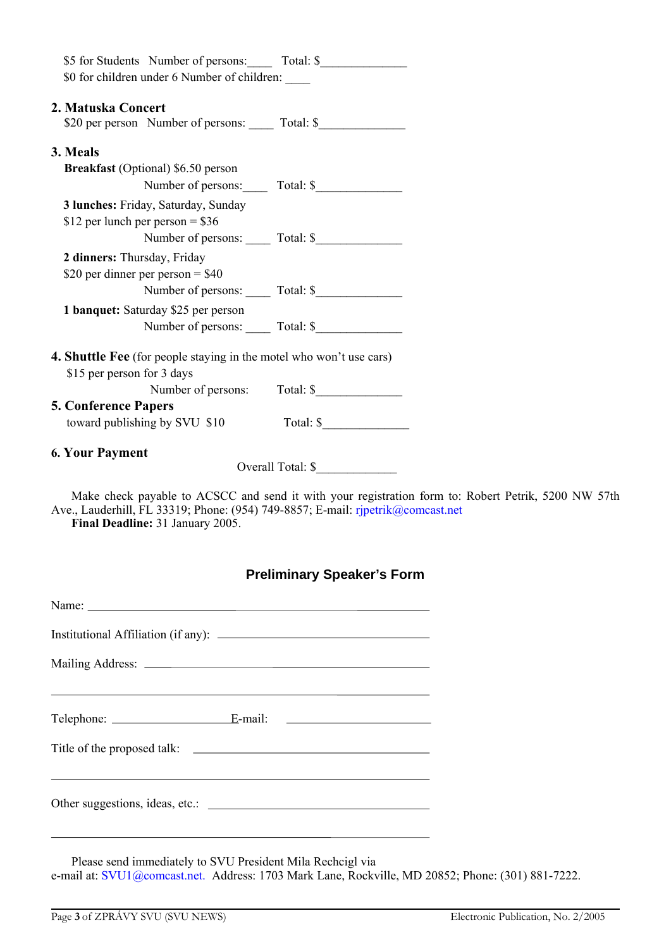| \$5 for Students Number of persons: Total: \$                                      |                                                                                       |
|------------------------------------------------------------------------------------|---------------------------------------------------------------------------------------|
| \$0 for children under 6 Number of children:                                       |                                                                                       |
| 2. Matuska Concert                                                                 |                                                                                       |
| \$20 per person Number of persons: _____ Total: \$________________________________ |                                                                                       |
| 3. Meals                                                                           |                                                                                       |
| <b>Breakfast</b> (Optional) \$6.50 person                                          |                                                                                       |
|                                                                                    | Number of persons: Total: \$                                                          |
| 3 lunches: Friday, Saturday, Sunday                                                |                                                                                       |
| \$12 per lunch per person = $$36$                                                  |                                                                                       |
|                                                                                    |                                                                                       |
| 2 dinners: Thursday, Friday                                                        |                                                                                       |
| \$20 per dinner per person = $$40$                                                 |                                                                                       |
|                                                                                    |                                                                                       |
| 1 banquet: Saturday \$25 per person                                                |                                                                                       |
|                                                                                    |                                                                                       |
| 4. Shuttle Fee (for people staying in the motel who won't use cars)                |                                                                                       |
| \$15 per person for 3 days                                                         |                                                                                       |
|                                                                                    | Number of persons: Total: \$                                                          |
| <b>5. Conference Papers</b>                                                        |                                                                                       |
| toward publishing by SVU \$10                                                      | Total: $\frac{\sqrt{2}}{2}$                                                           |
| <b>6. Your Payment</b>                                                             |                                                                                       |
|                                                                                    | Overall Total: \$                                                                     |
|                                                                                    | Moleculated wavelets to ACRCC and send it with your project of form to Delant Details |

Make check payable to ACSCC and send it with your registration form to: Robert Petrik, 5200 NW 57th Ave., Lauderhill, FL 33319; Phone: (954) 749-8857; E-mail: rjpetrik@comcast.net **Final Deadline:** 31 January 2005.

# **Preliminary Speaker's Form**

Name: Name: Name: Name: Name: Name: Name: Name: Name: Name: Name: Name: Name: Name: Name: Name: Name: Name: Name: Name: Name: Name: Name: Name: Name: Name: Name: Name: Name: Name: Name: Name: Name: Name: Name: Name: Name: Institutional Affiliation (if any): Mailing Address: Telephone: <u>E</u>-mail: E-mail: Title of the proposed talk: <u> 1989 - Johann Barbara, martxa alemaniar a</u> Other suggestions, ideas, etc.:

Please send immediately to SVU President Mila Rechcigl via e-mail at: SVU1@comcast.net. Address: 1703 Mark Lane, Rockville, MD 20852; Phone: (301) 881-7222.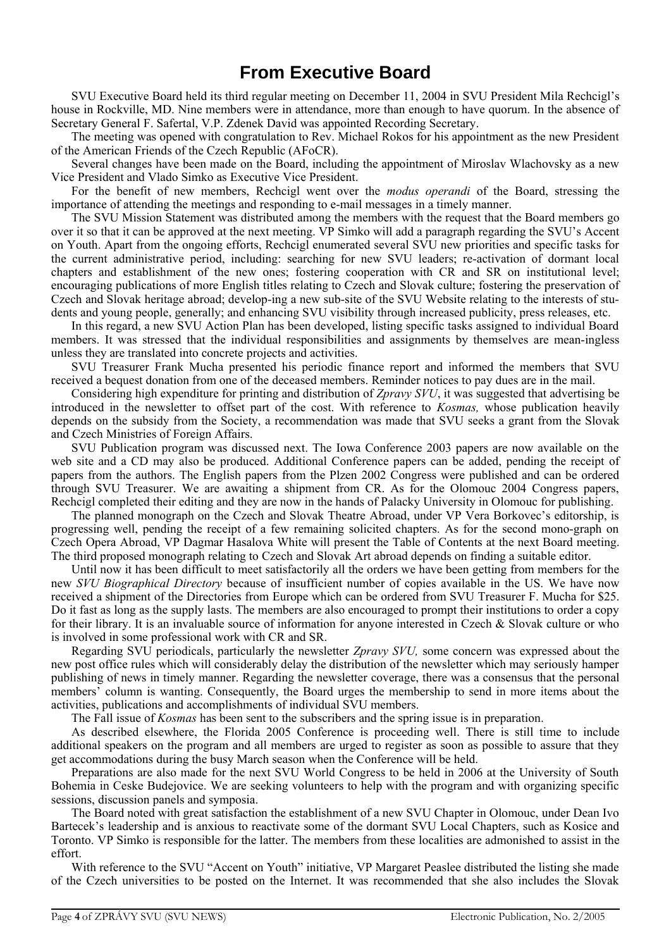# **From Executive Board**

SVU Executive Board held its third regular meeting on December 11, 2004 in SVU President Mila Rechcigl's house in Rockville, MD. Nine members were in attendance, more than enough to have quorum. In the absence of Secretary General F. Safertal, V.P. Zdenek David was appointed Recording Secretary.

The meeting was opened with congratulation to Rev. Michael Rokos for his appointment as the new President of the American Friends of the Czech Republic (AFoCR).

Several changes have been made on the Board, including the appointment of Miroslav Wlachovsky as a new Vice President and Vlado Simko as Executive Vice President.

For the benefit of new members, Rechcigl went over the *modus operandi* of the Board, stressing the importance of attending the meetings and responding to e-mail messages in a timely manner.

The SVU Mission Statement was distributed among the members with the request that the Board members go over it so that it can be approved at the next meeting. VP Simko will add a paragraph regarding the SVU's Accent on Youth. Apart from the ongoing efforts, Rechcigl enumerated several SVU new priorities and specific tasks for the current administrative period, including: searching for new SVU leaders; re-activation of dormant local chapters and establishment of the new ones; fostering cooperation with CR and SR on institutional level; encouraging publications of more English titles relating to Czech and Slovak culture; fostering the preservation of Czech and Slovak heritage abroad; develop-ing a new sub-site of the SVU Website relating to the interests of students and young people, generally; and enhancing SVU visibility through increased publicity, press releases, etc.

In this regard, a new SVU Action Plan has been developed, listing specific tasks assigned to individual Board members. It was stressed that the individual responsibilities and assignments by themselves are mean-ingless unless they are translated into concrete projects and activities.

SVU Treasurer Frank Mucha presented his periodic finance report and informed the members that SVU received a bequest donation from one of the deceased members. Reminder notices to pay dues are in the mail.

Considering high expenditure for printing and distribution of *Zpravy SVU*, it was suggested that advertising be introduced in the newsletter to offset part of the cost. With reference to *Kosmas,* whose publication heavily depends on the subsidy from the Society, a recommendation was made that SVU seeks a grant from the Slovak and Czech Ministries of Foreign Affairs.

SVU Publication program was discussed next. The Iowa Conference 2003 papers are now available on the web site and a CD may also be produced. Additional Conference papers can be added, pending the receipt of papers from the authors. The English papers from the Plzen 2002 Congress were published and can be ordered through SVU Treasurer. We are awaiting a shipment from CR. As for the Olomouc 2004 Congress papers, Rechcigl completed their editing and they are now in the hands of Palacky University in Olomouc for publishing.

The planned monograph on the Czech and Slovak Theatre Abroad, under VP Vera Borkovec's editorship, is progressing well, pending the receipt of a few remaining solicited chapters. As for the second mono-graph on Czech Opera Abroad, VP Dagmar Hasalova White will present the Table of Contents at the next Board meeting. The third proposed monograph relating to Czech and Slovak Art abroad depends on finding a suitable editor.

Until now it has been difficult to meet satisfactorily all the orders we have been getting from members for the new *SVU Biographical Directory* because of insufficient number of copies available in the US. We have now received a shipment of the Directories from Europe which can be ordered from SVU Treasurer F. Mucha for \$25. Do it fast as long as the supply lasts. The members are also encouraged to prompt their institutions to order a copy for their library. It is an invaluable source of information for anyone interested in Czech & Slovak culture or who is involved in some professional work with CR and SR.

Regarding SVU periodicals, particularly the newsletter *Zpravy SVU,* some concern was expressed about the new post office rules which will considerably delay the distribution of the newsletter which may seriously hamper publishing of news in timely manner. Regarding the newsletter coverage, there was a consensus that the personal members' column is wanting. Consequently, the Board urges the membership to send in more items about the activities, publications and accomplishments of individual SVU members.

The Fall issue of *Kosmas* has been sent to the subscribers and the spring issue is in preparation.

As described elsewhere, the Florida 2005 Conference is proceeding well. There is still time to include additional speakers on the program and all members are urged to register as soon as possible to assure that they get accommodations during the busy March season when the Conference will be held.

Preparations are also made for the next SVU World Congress to be held in 2006 at the University of South Bohemia in Ceske Budejovice. We are seeking volunteers to help with the program and with organizing specific sessions, discussion panels and symposia.

The Board noted with great satisfaction the establishment of a new SVU Chapter in Olomouc, under Dean Ivo Bartecek's leadership and is anxious to reactivate some of the dormant SVU Local Chapters, such as Kosice and Toronto. VP Simko is responsible for the latter. The members from these localities are admonished to assist in the effort.

With reference to the SVU "Accent on Youth" initiative, VP Margaret Peaslee distributed the listing she made of the Czech universities to be posted on the Internet. It was recommended that she also includes the Slovak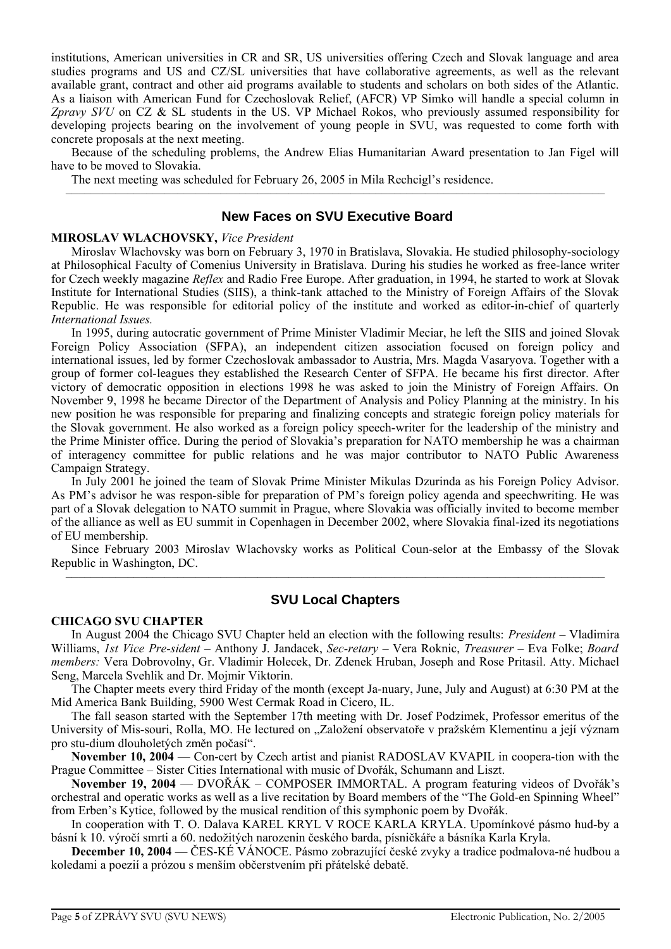institutions, American universities in CR and SR, US universities offering Czech and Slovak language and area studies programs and US and CZ/SL universities that have collaborative agreements, as well as the relevant available grant, contract and other aid programs available to students and scholars on both sides of the Atlantic. As a liaison with American Fund for Czechoslovak Relief, (AFCR) VP Simko will handle a special column in *Zpravy SVU* on CZ & SL students in the US. VP Michael Rokos, who previously assumed responsibility for developing projects bearing on the involvement of young people in SVU, was requested to come forth with concrete proposals at the next meeting.

Because of the scheduling problems, the Andrew Elias Humanitarian Award presentation to Jan Figel will have to be moved to Slovakia.

–––––––––––––––––––––––––––––––––––––––––––––––––––––––––––––––––––––––––––––––––––––––

The next meeting was scheduled for February 26, 2005 in Mila Rechcigl's residence.

### **New Faces on SVU Executive Board**

#### **MIROSLAV WLACHOVSKY,** *Vice President*

Miroslav Wlachovsky was born on February 3, 1970 in Bratislava, Slovakia. He studied philosophy-sociology at Philosophical Faculty of Comenius University in Bratislava. During his studies he worked as free-lance writer for Czech weekly magazine *Reflex* and Radio Free Europe. After graduation, in 1994, he started to work at Slovak Institute for International Studies (SIIS), a think-tank attached to the Ministry of Foreign Affairs of the Slovak Republic. He was responsible for editorial policy of the institute and worked as editor-in-chief of quarterly *International Issues.*

In 1995, during autocratic government of Prime Minister Vladimir Meciar, he left the SIIS and joined Slovak Foreign Policy Association (SFPA), an independent citizen association focused on foreign policy and international issues, led by former Czechoslovak ambassador to Austria, Mrs. Magda Vasaryova. Together with a group of former col-leagues they established the Research Center of SFPA. He became his first director. After victory of democratic opposition in elections 1998 he was asked to join the Ministry of Foreign Affairs. On November 9, 1998 he became Director of the Department of Analysis and Policy Planning at the ministry. In his new position he was responsible for preparing and finalizing concepts and strategic foreign policy materials for the Slovak government. He also worked as a foreign policy speech-writer for the leadership of the ministry and the Prime Minister office. During the period of Slovakia's preparation for NATO membership he was a chairman of interagency committee for public relations and he was major contributor to NATO Public Awareness Campaign Strategy.

In July 2001 he joined the team of Slovak Prime Minister Mikulas Dzurinda as his Foreign Policy Advisor. As PM's advisor he was respon-sible for preparation of PM's foreign policy agenda and speechwriting. He was part of a Slovak delegation to NATO summit in Prague, where Slovakia was officially invited to become member of the alliance as well as EU summit in Copenhagen in December 2002, where Slovakia final-ized its negotiations of EU membership.

Since February 2003 Miroslav Wlachovsky works as Political Coun-selor at the Embassy of the Slovak Republic in Washington, DC. –––––––––––––––––––––––––––––––––––––––––––––––––––––––––––––––––––––––––––––––––––––––

# **SVU Local Chapters**

#### **CHICAGO SVU CHAPTER**

In August 2004 the Chicago SVU Chapter held an election with the following results: *President* – Vladimira Williams, *1st Vice Pre-sident* – Anthony J. Jandacek, *Sec-retary* – Vera Roknic, *Treasurer* – Eva Folke; *Board members:* Vera Dobrovolny, Gr. Vladimir Holecek, Dr. Zdenek Hruban, Joseph and Rose Pritasil. Atty. Michael Seng, Marcela Svehlik and Dr. Mojmir Viktorin.

The Chapter meets every third Friday of the month (except Ja-nuary, June, July and August) at 6:30 PM at the Mid America Bank Building, 5900 West Cermak Road in Cicero, IL.

The fall season started with the September 17th meeting with Dr. Josef Podzimek, Professor emeritus of the University of Mis-souri, Rolla, MO. He lectured on "Založení observatoře v pražském Klementinu a její význam pro stu-dium dlouholetých změn počasí".

**November 10, 2004** — Con-cert by Czech artist and pianist RADOSLAV KVAPIL in coopera-tion with the Prague Committee – Sister Cities International with music of Dvořák, Schumann and Liszt.

**November 19, 2004** — DVOŘÁK – COMPOSER IMMORTAL. A program featuring videos of Dvořák's orchestral and operatic works as well as a live recitation by Board members of the "The Gold-en Spinning Wheel" from Erben's Kytice, followed by the musical rendition of this symphonic poem by Dvořák.

In cooperation with T. O. Dalava KAREL KRYL V ROCE KARLA KRYLA. Upomínkové pásmo hud-by a básní k 10. výročí smrti a 60. nedožitých narozenin českého barda, písničkáře a básníka Karla Kryla.

**December 10, 2004** — ČES-KÉ VÁNOCE. Pásmo zobrazující české zvyky a tradice podmalova-né hudbou a koledami a poezií a prózou s menším občerstvením při přátelské debatě.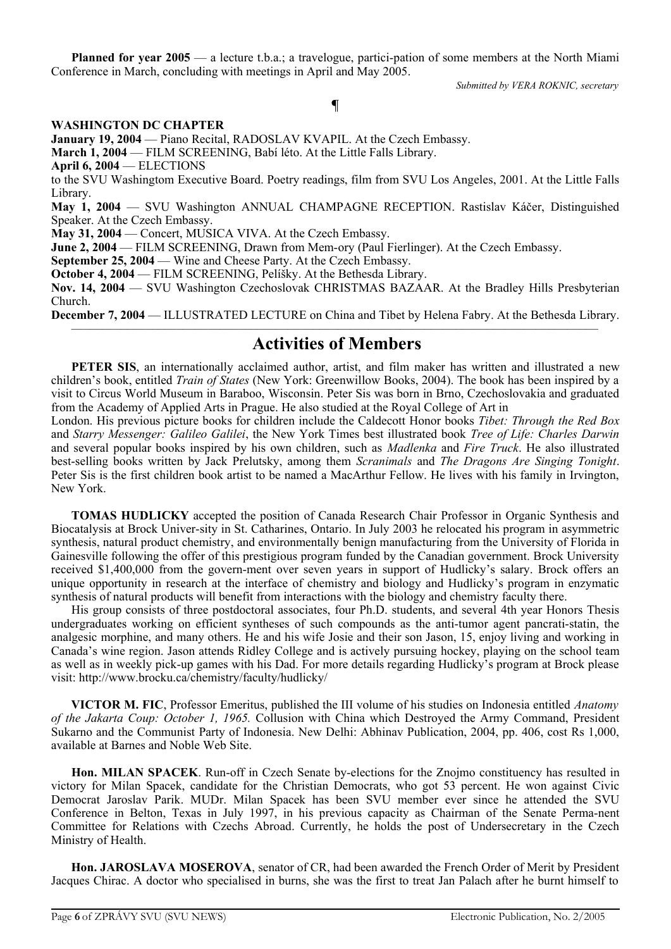**Planned for year 2005** — a lecture t.b.a.; a travelogue, partici-pation of some members at the North Miami Conference in March, concluding with meetings in April and May 2005.

*Submitted by VERA ROKNIC, secretary*

# **¶**

### **WASHINGTON DC CHAPTER**

**January 19, 2004** — Piano Recital, RADOSLAV KVAPIL. At the Czech Embassy.

**March 1, 2004** — FILM SCREENING, Babí léto. At the Little Falls Library.

**April 6, 2004** — ELECTIONS

to the SVU Washingtom Executive Board. Poetry readings, film from SVU Los Angeles, 2001. At the Little Falls Library.

**May 1, 2004** — SVU Washington ANNUAL CHAMPAGNE RECEPTION. Rastislav Káčer, Distinguished Speaker. At the Czech Embassy.

**May 31, 2004** — Concert, MUSICA VIVA. At the Czech Embassy.

**June 2, 2004** — FILM SCREENING, Drawn from Mem-ory (Paul Fierlinger). At the Czech Embassy.

**September 25, 2004** — Wine and Cheese Party. At the Czech Embassy.

**October 4, 2004** — FILM SCREENING, Pelíšky. At the Bethesda Library.

**Nov. 14, 2004** — SVU Washington Czechoslovak CHRISTMAS BAZAAR. At the Bradley Hills Presbyterian Church.

**December 7, 2004** — ILLUSTRATED LECTURE on China and Tibet by Helena Fabry. At the Bethesda Library.

# ––––––––––––––––––––––––––––––––––––––––––––––––––––––––––––––––––––––––––––––––––––– **Activities of Members**

**PETER SIS**, an internationally acclaimed author, artist, and film maker has written and illustrated a new children's book, entitled *Train of States* (New York: Greenwillow Books, 2004). The book has been inspired by a visit to Circus World Museum in Baraboo, Wisconsin. Peter Sis was born in Brno, Czechoslovakia and graduated from the Academy of Applied Arts in Prague. He also studied at the Royal College of Art in

London. His previous picture books for children include the Caldecott Honor books *Tibet: Through the Red Box* and *Starry Messenger: Galileo Galilei*, the New York Times best illustrated book *Tree of Life: Charles Darwin* and several popular books inspired by his own children, such as *Madlenka* and *Fire Truck*. He also illustrated best-selling books written by Jack Prelutsky, among them *Scranimals* and *The Dragons Are Singing Tonight*. Peter Sis is the first children book artist to be named a MacArthur Fellow. He lives with his family in Irvington, New York.

**TOMAS HUDLICKY** accepted the position of Canada Research Chair Professor in Organic Synthesis and Biocatalysis at Brock Univer-sity in St. Catharines, Ontario. In July 2003 he relocated his program in asymmetric synthesis, natural product chemistry, and environmentally benign manufacturing from the University of Florida in Gainesville following the offer of this prestigious program funded by the Canadian government. Brock University received \$1,400,000 from the govern-ment over seven years in support of Hudlicky's salary. Brock offers an unique opportunity in research at the interface of chemistry and biology and Hudlicky's program in enzymatic synthesis of natural products will benefit from interactions with the biology and chemistry faculty there.

His group consists of three postdoctoral associates, four Ph.D. students, and several 4th year Honors Thesis undergraduates working on efficient syntheses of such compounds as the anti-tumor agent pancrati-statin, the analgesic morphine, and many others. He and his wife Josie and their son Jason, 15, enjoy living and working in Canada's wine region. Jason attends Ridley College and is actively pursuing hockey, playing on the school team as well as in weekly pick-up games with his Dad. For more details regarding Hudlicky's program at Brock please visit: http://www.brocku.ca/chemistry/faculty/hudlicky/

**VICTOR M. FIC**, Professor Emeritus, published the III volume of his studies on Indonesia entitled *Anatomy of the Jakarta Coup: October 1, 1965.* Collusion with China which Destroyed the Army Command, President Sukarno and the Communist Party of Indonesia. New Delhi: Abhinav Publication, 2004, pp. 406, cost Rs 1,000, available at Barnes and Noble Web Site.

**Hon. MILAN SPACEK**. Run-off in Czech Senate by-elections for the Znojmo constituency has resulted in victory for Milan Spacek, candidate for the Christian Democrats, who got 53 percent. He won against Civic Democrat Jaroslav Parik. MUDr. Milan Spacek has been SVU member ever since he attended the SVU Conference in Belton, Texas in July 1997, in his previous capacity as Chairman of the Senate Perma-nent Committee for Relations with Czechs Abroad. Currently, he holds the post of Undersecretary in the Czech Ministry of Health.

**Hon. JAROSLAVA MOSEROVA**, senator of CR, had been awarded the French Order of Merit by President Jacques Chirac. A doctor who specialised in burns, she was the first to treat Jan Palach after he burnt himself to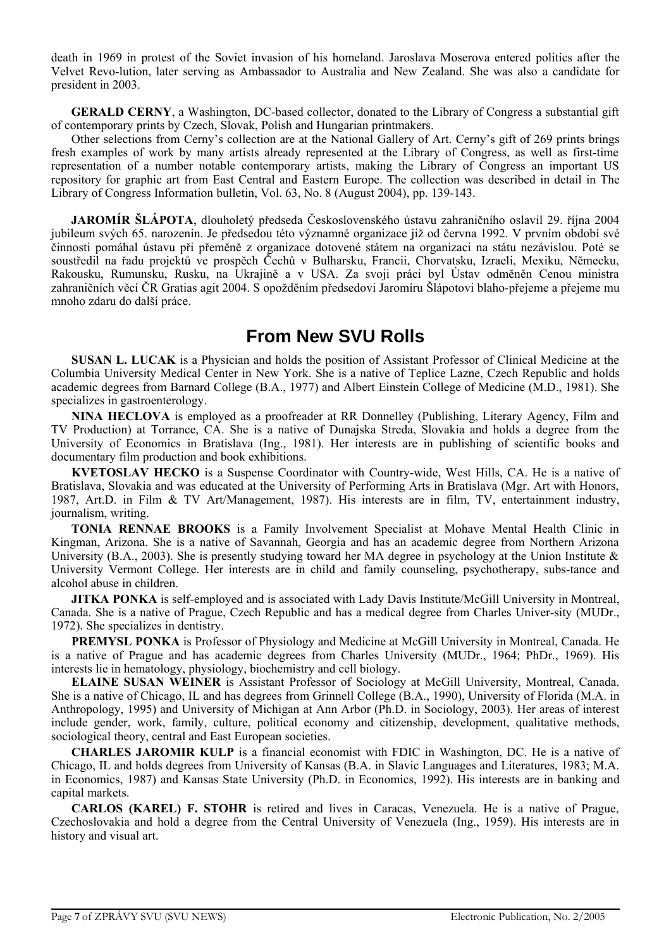death in 1969 in protest of the Soviet invasion of his homeland. Jaroslava Moserova entered politics after the Velvet Revo-lution, later serving as Ambassador to Australia and New Zealand. She was also a candidate for president in 2003.

**GERALD CERNY**, a Washington, DC-based collector, donated to the Library of Congress a substantial gift of contemporary prints by Czech, Slovak, Polish and Hungarian printmakers.

Other selections from Cerny's collection are at the National Gallery of Art. Cerny's gift of 269 prints brings fresh examples of work by many artists already represented at the Library of Congress, as well as first-time representation of a number notable contemporary artists, making the Library of Congress an important US repository for graphic art from East Central and Eastern Europe. The collection was described in detail in The Library of Congress Information bulletin, Vol. 63, No. 8 (August 2004), pp. 139-143.

**JAROMÍR ŠLÁPOTA**, dlouholetý předseda Československého ústavu zahraničního oslavil 29. října 2004 jubileum svých 65. narozenin. Je předsedou této významné organizace již od června 1992. V prvním období své činnosti pomáhal ústavu při přeměně z organizace dotovené státem na organizaci na státu nezávislou. Poté se soustředil na řadu projektů ve prospěch Čechů v Bulharsku, Francii, Chorvatsku, Izraeli, Mexiku, Německu, Rakousku, Rumunsku, Rusku, na Ukrajině a v USA. Za svoji práci byl Ústav odměněn Cenou ministra zahraničních věcí ČR Gratias agit 2004. S opožděním předsedovi Jaromíru Šlápotovi blaho-přejeme a přejeme mu mnoho zdaru do další práce.

# **From New SVU Rolls**

**SUSAN L. LUCAK** is a Physician and holds the position of Assistant Professor of Clinical Medicine at the Columbia University Medical Center in New York. She is a native of Teplice Lazne, Czech Republic and holds academic degrees from Barnard College (B.A., 1977) and Albert Einstein College of Medicine (M.D., 1981). She specializes in gastroenterology.

**NINA HECLOVA** is employed as a proofreader at RR Donnelley (Publishing, Literary Agency, Film and TV Production) at Torrance, CA. She is a native of Dunajska Streda, Slovakia and holds a degree from the University of Economics in Bratislava (Ing., 1981). Her interests are in publishing of scientific books and documentary film production and book exhibitions.

**KVETOSLAV HECKO** is a Suspense Coordinator with Country-wide, West Hills, CA. He is a native of Bratislava, Slovakia and was educated at the University of Performing Arts in Bratislava (Mgr. Art with Honors, 1987, Art.D. in Film & TV Art/Management, 1987). His interests are in film, TV, entertainment industry, journalism, writing.

**TONIA RENNAE BROOKS** is a Family Involvement Specialist at Mohave Mental Health Clinic in Kingman, Arizona. She is a native of Savannah, Georgia and has an academic degree from Northern Arizona University (B.A., 2003). She is presently studying toward her MA degree in psychology at the Union Institute & University Vermont College. Her interests are in child and family counseling, psychotherapy, subs-tance and alcohol abuse in children.

**JITKA PONKA** is self-employed and is associated with Lady Davis Institute/McGill University in Montreal, Canada. She is a native of Prague, Czech Republic and has a medical degree from Charles Univer-sity (MUDr., 1972). She specializes in dentistry.

**PREMYSL PONKA** is Professor of Physiology and Medicine at McGill University in Montreal, Canada. He is a native of Prague and has academic degrees from Charles University (MUDr., 1964; PhDr., 1969). His interests lie in hematology, physiology, biochemistry and cell biology.

**ELAINE SUSAN WEINER** is Assistant Professor of Sociology at McGill University, Montreal, Canada. She is a native of Chicago, IL and has degrees from Grinnell College (B.A., 1990), University of Florida (M.A. in Anthropology, 1995) and University of Michigan at Ann Arbor (Ph.D. in Sociology, 2003). Her areas of interest include gender, work, family, culture, political economy and citizenship, development, qualitative methods, sociological theory, central and East European societies.

**CHARLES JAROMIR KULP** is a financial economist with FDIC in Washington, DC. He is a native of Chicago, IL and holds degrees from University of Kansas (B.A. in Slavic Languages and Literatures, 1983; M.A. in Economics, 1987) and Kansas State University (Ph.D. in Economics, 1992). His interests are in banking and capital markets.

**CARLOS (KAREL) F. STOHR** is retired and lives in Caracas, Venezuela. He is a native of Prague, Czechoslovakia and hold a degree from the Central University of Venezuela (Ing., 1959). His interests are in history and visual art.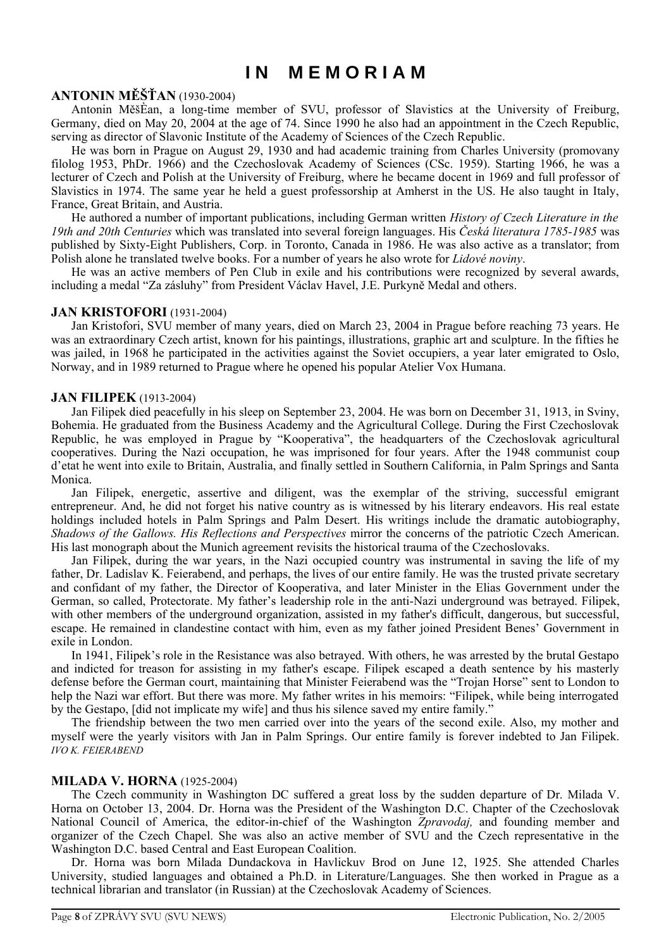# **I N M E M O R I A M**

#### **ANTONIN MĚŠŤAN** (1930-2004)

Antonin MěšÈan, a long-time member of SVU, professor of Slavistics at the University of Freiburg, Germany, died on May 20, 2004 at the age of 74. Since 1990 he also had an appointment in the Czech Republic, serving as director of Slavonic Institute of the Academy of Sciences of the Czech Republic.

He was born in Prague on August 29, 1930 and had academic training from Charles University (promovany filolog 1953, PhDr. 1966) and the Czechoslovak Academy of Sciences (CSc. 1959). Starting 1966, he was a lecturer of Czech and Polish at the University of Freiburg, where he became docent in 1969 and full professor of Slavistics in 1974. The same year he held a guest professorship at Amherst in the US. He also taught in Italy, France, Great Britain, and Austria.

He authored a number of important publications, including German written *History of Czech Literature in the 19th and 20th Centuries* which was translated into several foreign languages. His *Česká literatura 1785-1985* was published by Sixty-Eight Publishers, Corp. in Toronto, Canada in 1986. He was also active as a translator; from Polish alone he translated twelve books. For a number of years he also wrote for *Lidové noviny*.

He was an active members of Pen Club in exile and his contributions were recognized by several awards, including a medal "Za zásluhy" from President Václav Havel, J.E. Purkyně Medal and others.

#### **JAN KRISTOFORI** (1931-2004)

Jan Kristofori, SVU member of many years, died on March 23, 2004 in Prague before reaching 73 years. He was an extraordinary Czech artist, known for his paintings, illustrations, graphic art and sculpture. In the fifties he was jailed, in 1968 he participated in the activities against the Soviet occupiers, a year later emigrated to Oslo, Norway, and in 1989 returned to Prague where he opened his popular Atelier Vox Humana.

#### **JAN FILIPEK** (1913-2004)

Jan Filipek died peacefully in his sleep on September 23, 2004. He was born on December 31, 1913, in Sviny, Bohemia. He graduated from the Business Academy and the Agricultural College. During the First Czechoslovak Republic, he was employed in Prague by "Kooperativa", the headquarters of the Czechoslovak agricultural cooperatives. During the Nazi occupation, he was imprisoned for four years. After the 1948 communist coup d'etat he went into exile to Britain, Australia, and finally settled in Southern California, in Palm Springs and Santa Monica.

Jan Filipek, energetic, assertive and diligent, was the exemplar of the striving, successful emigrant entrepreneur. And, he did not forget his native country as is witnessed by his literary endeavors. His real estate holdings included hotels in Palm Springs and Palm Desert. His writings include the dramatic autobiography, *Shadows of the Gallows. His Reflections and Perspectives* mirror the concerns of the patriotic Czech American. His last monograph about the Munich agreement revisits the historical trauma of the Czechoslovaks.

Jan Filipek, during the war years, in the Nazi occupied country was instrumental in saving the life of my father, Dr. Ladislav K. Feierabend, and perhaps, the lives of our entire family. He was the trusted private secretary and confidant of my father, the Director of Kooperativa, and later Minister in the Elias Government under the German, so called, Protectorate. My father's leadership role in the anti-Nazi underground was betrayed. Filipek, with other members of the underground organization, assisted in my father's difficult, dangerous, but successful, escape. He remained in clandestine contact with him, even as my father joined President Benes' Government in exile in London.

In 1941, Filipek's role in the Resistance was also betrayed. With others, he was arrested by the brutal Gestapo and indicted for treason for assisting in my father's escape. Filipek escaped a death sentence by his masterly defense before the German court, maintaining that Minister Feierabend was the "Trojan Horse" sent to London to help the Nazi war effort. But there was more. My father writes in his memoirs: "Filipek, while being interrogated by the Gestapo, [did not implicate my wife] and thus his silence saved my entire family."

The friendship between the two men carried over into the years of the second exile. Also, my mother and myself were the yearly visitors with Jan in Palm Springs. Our entire family is forever indebted to Jan Filipek. *IVO K. FEIERABEND* 

#### **MILADA V. HORNA** (1925-2004)

The Czech community in Washington DC suffered a great loss by the sudden departure of Dr. Milada V. Horna on October 13, 2004. Dr. Horna was the President of the Washington D.C. Chapter of the Czechoslovak National Council of America, the editor-in-chief of the Washington *Zpravodaj,* and founding member and organizer of the Czech Chapel. She was also an active member of SVU and the Czech representative in the Washington D.C. based Central and East European Coalition.

Dr. Horna was born Milada Dundackova in Havlickuv Brod on June 12, 1925. She attended Charles University, studied languages and obtained a Ph.D. in Literature/Languages. She then worked in Prague as a technical librarian and translator (in Russian) at the Czechoslovak Academy of Sciences.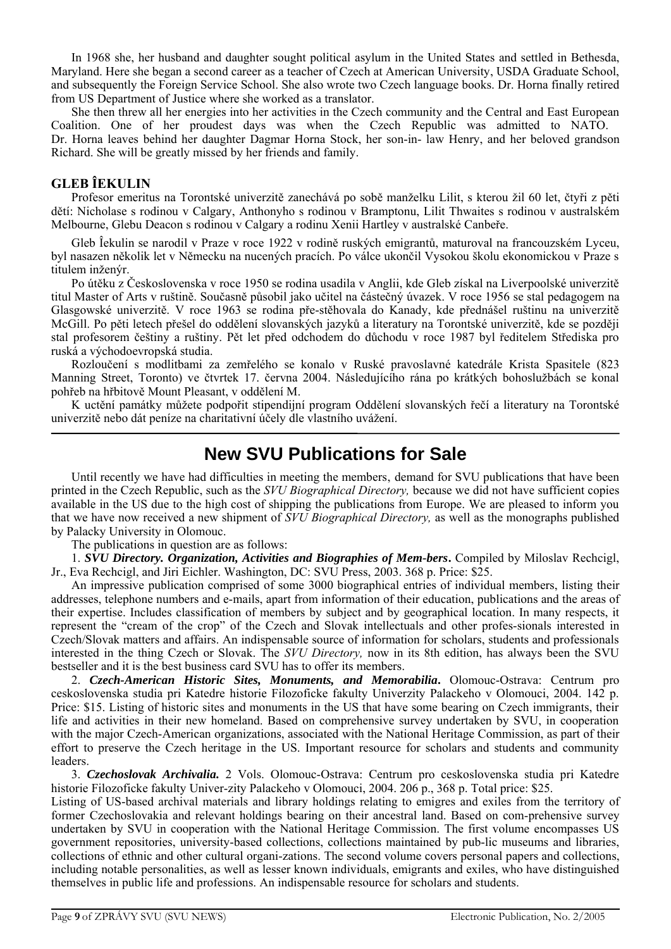In 1968 she, her husband and daughter sought political asylum in the United States and settled in Bethesda, Maryland. Here she began a second career as a teacher of Czech at American University, USDA Graduate School, and subsequently the Foreign Service School. She also wrote two Czech language books. Dr. Horna finally retired from US Department of Justice where she worked as a translator.

She then threw all her energies into her activities in the Czech community and the Central and East European Coalition. One of her proudest days was when the Czech Republic was admitted to NATO. Dr. Horna leaves behind her daughter Dagmar Horna Stock, her son-in- law Henry, and her beloved grandson Richard. She will be greatly missed by her friends and family.

# **GLEB ÎEKULIN**

Profesor emeritus na Torontské univerzitě zanechává po sobě manželku Lilit, s kterou žil 60 let, čtyři z pěti dětí: Nicholase s rodinou v Calgary, Anthonyho s rodinou v Bramptonu, Lilit Thwaites s rodinou v australském Melbourne, Glebu Deacon s rodinou v Calgary a rodinu Xenii Hartley v australské Canbeře.

Gleb Îekulin se narodil v Praze v roce 1922 v rodině ruských emigrantů, maturoval na francouzském Lyceu, byl nasazen několik let v Německu na nucených pracích. Po válce ukončil Vysokou školu ekonomickou v Praze s titulem inženýr.

Po útěku z Československa v roce 1950 se rodina usadila v Anglii, kde Gleb získal na Liverpoolské univerzitě titul Master of Arts v ruštině. Současně působil jako učitel na částečný úvazek. V roce 1956 se stal pedagogem na Glasgowské univerzitě. V roce 1963 se rodina pře-stěhovala do Kanady, kde přednášel ruštinu na univerzitě McGill. Po pěti letech přešel do oddělení slovanských jazyků a literatury na Torontské univerzitě, kde se později stal profesorem češtiny a ruštiny. Pět let před odchodem do důchodu v roce 1987 byl ředitelem Střediska pro ruská a východoevropská studia.

Rozloučení s modlitbami za zemřelého se konalo v Ruské pravoslavné katedrále Krista Spasitele (823 Manning Street, Toronto) ve čtvrtek 17. června 2004. Následujícího rána po krátkých bohoslužbách se konal pohřeb na hřbitově Mount Pleasant, v oddělení M.

K uctění památky můžete podpořit stipendijní program Oddělení slovanských řečí a literatury na Torontské univerzitě nebo dát peníze na charitativní účely dle vlastního uvážení.

# **New SVU Publications for Sale**

Until recently we have had difficulties in meeting the members, demand for SVU publications that have been printed in the Czech Republic, such as the *SVU Biographical Directory,* because we did not have sufficient copies available in the US due to the high cost of shipping the publications from Europe. We are pleased to inform you that we have now received a new shipment of *SVU Biographical Directory,* as well as the monographs published by Palacky University in Olomouc.

The publications in question are as follows:

1. *SVU Directory. Organization, Activities and Biographies of Mem-bers***.** Compiled by Miloslav Rechcigl, Jr., Eva Rechcigl, and Jiri Eichler. Washington, DC: SVU Press, 2003. 368 p. Price: \$25.

An impressive publication comprised of some 3000 biographical entries of individual members, listing their addresses, telephone numbers and e-mails, apart from information of their education, publications and the areas of their expertise. Includes classification of members by subject and by geographical location. In many respects, it represent the "cream of the crop" of the Czech and Slovak intellectuals and other profes-sionals interested in Czech/Slovak matters and affairs. An indispensable source of information for scholars, students and professionals interested in the thing Czech or Slovak. The *SVU Directory,* now in its 8th edition, has always been the SVU bestseller and it is the best business card SVU has to offer its members.

2. *Czech-American Historic Sites, Monuments, and Memorabilia***.** Olomouc-Ostrava: Centrum pro ceskoslovenska studia pri Katedre historie Filozoficke fakulty Univerzity Palackeho v Olomouci, 2004. 142 p. Price: \$15. Listing of historic sites and monuments in the US that have some bearing on Czech immigrants, their life and activities in their new homeland. Based on comprehensive survey undertaken by SVU, in cooperation with the major Czech-American organizations, associated with the National Heritage Commission, as part of their effort to preserve the Czech heritage in the US. Important resource for scholars and students and community leaders.

3. *Czechoslovak Archivalia.* 2 Vols. Olomouc-Ostrava: Centrum pro ceskoslovenska studia pri Katedre historie Filozoficke fakulty Univer-zity Palackeho v Olomouci, 2004. 206 p., 368 p. Total price: \$25.

Listing of US-based archival materials and library holdings relating to emigres and exiles from the territory of former Czechoslovakia and relevant holdings bearing on their ancestral land. Based on com-prehensive survey undertaken by SVU in cooperation with the National Heritage Commission. The first volume encompasses US government repositories, university-based collections, collections maintained by pub-lic museums and libraries, collections of ethnic and other cultural organi-zations. The second volume covers personal papers and collections, including notable personalities, as well as lesser known individuals, emigrants and exiles, who have distinguished themselves in public life and professions. An indispensable resource for scholars and students.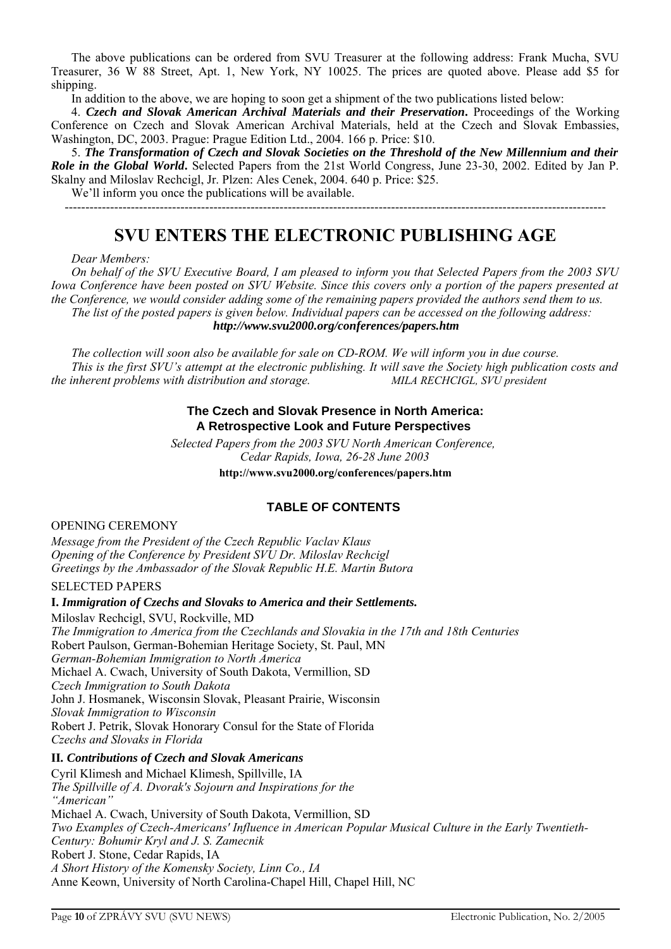The above publications can be ordered from SVU Treasurer at the following address: Frank Mucha, SVU Treasurer, 36 W 88 Street, Apt. 1, New York, NY 10025. The prices are quoted above. Please add \$5 for shipping.

In addition to the above, we are hoping to soon get a shipment of the two publications listed below:

4. *Czech and Slovak American Archival Materials and their Preservation***.** Proceedings of the Working Conference on Czech and Slovak American Archival Materials, held at the Czech and Slovak Embassies, Washington, DC, 2003. Prague: Prague Edition Ltd., 2004. 166 p. Price: \$10.

5. *The Transformation of Czech and Slovak Societies on the Threshold of the New Millennium and their Role in the Global World***.** Selected Papers from the 21st World Congress, June 23-30, 2002. Edited by Jan P. Skalny and Miloslav Rechcigl, Jr. Plzen: Ales Cenek, 2004. 640 p. Price: \$25.

We'll inform you once the publications will be available. -----------------------------------------------------------------------------------------------------------------------------------

# **SVU ENTERS THE ELECTRONIC PUBLISHING AGE**

*Dear Members:* 

*On behalf of the SVU Executive Board, I am pleased to inform you that Selected Papers from the 2003 SVU Iowa Conference have been posted on SVU Website. Since this covers only a portion of the papers presented at the Conference, we would consider adding some of the remaining papers provided the authors send them to us. The list of the posted papers is given below. Individual papers can be accessed on the following address: http://www.svu2000.org/conferences/papers.htm*

*The collection will soon also be available for sale on CD-ROM. We will inform you in due course. This is the first SVU's attempt at the electronic publishing. It will save the Society high publication costs and the inherent problems with distribution and storage.* MILA RECHCIGL, SVU president

#### **The Czech and Slovak Presence in North America: A Retrospective Look and Future Perspectives**

*Selected Papers from the 2003 SVU North American Conference, Cedar Rapids, Iowa, 26-28 June 2003* **http://www.svu2000.org/conferences/papers.htm**

# **TABLE OF CONTENTS**

OPENING CEREMONY

*Message from the President of the Czech Republic Vaclav Klaus Opening of the Conference by President SVU Dr. Miloslav Rechcigl Greetings by the Ambassador of the Slovak Republic H.E. Martin Butora* 

#### SELECTED PAPERS

**I.** *Immigration of Czechs and Slovaks to America and their Settlements.* Miloslav Rechcigl, SVU, Rockville, MD *The Immigration to America from the Czechlands and Slovakia in the 17th and 18th Centuries* Robert Paulson, German-Bohemian Heritage Society, St. Paul, MN *German-Bohemian Immigration to North America*  Michael A. Cwach, University of South Dakota, Vermillion, SD *Czech Immigration to South Dakota*  John J. Hosmanek, Wisconsin Slovak, Pleasant Prairie, Wisconsin *Slovak Immigration to Wisconsin*  Robert J. Petrik, Slovak Honorary Consul for the State of Florida *Czechs and Slovaks in Florida*

**II***. Contributions of Czech and Slovak Americans*  Cyril Klimesh and Michael Klimesh, Spillville, IA *The Spillville of A. Dvorak's Sojourn and Inspirations for the "American"* Michael A. Cwach, University of South Dakota, Vermillion, SD *Two Examples of Czech-Americans' Influence in American Popular Musical Culture in the Early Twentieth-Century: Bohumir Kryl and J. S. Zamecnik* Robert J. Stone, Cedar Rapids, IA *A Short History of the Komensky Society, Linn Co., IA*  Anne Keown, University of North Carolina-Chapel Hill, Chapel Hill, NC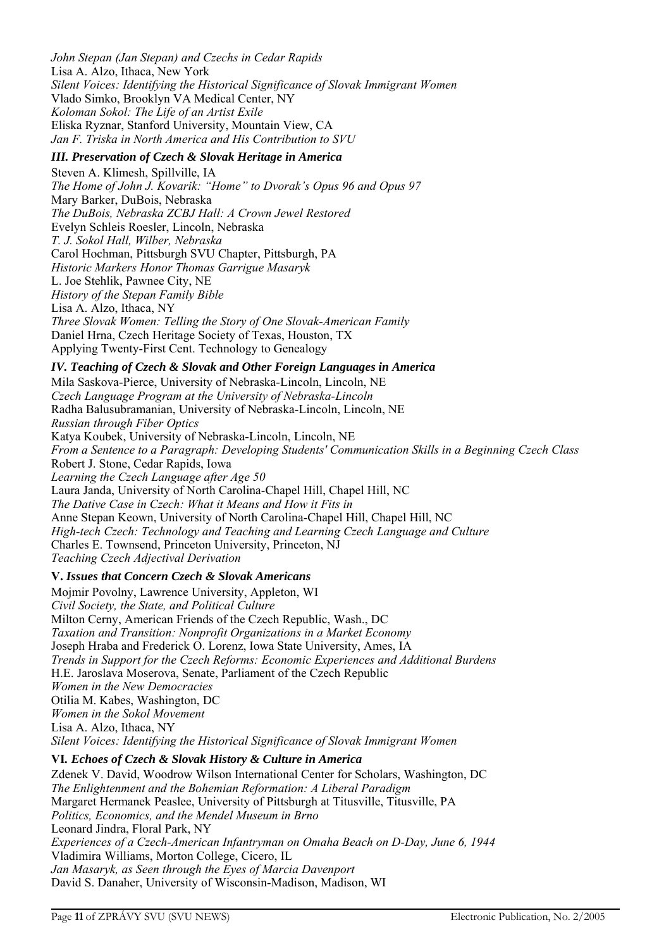*John Stepan (Jan Stepan) and Czechs in Cedar Rapids* Lisa A. Alzo, Ithaca, New York *Silent Voices: Identifying the Historical Significance of Slovak Immigrant Women* Vlado Simko, Brooklyn VA Medical Center, NY *Koloman Sokol: The Life of an Artist Exile*  Eliska Ryznar, Stanford University, Mountain View, CA *Jan F. Triska in North America and His Contribution to SVU* 

# *III. Preservation of Czech & Slovak Heritage in America*

Steven A. Klimesh, Spillville, IA *The Home of John J. Kovarik: "Home" to Dvorak's Opus 96 and Opus 97* Mary Barker, DuBois, Nebraska *The DuBois, Nebraska ZCBJ Hall: A Crown Jewel Restored*  Evelyn Schleis Roesler, Lincoln, Nebraska *T. J. Sokol Hall, Wilber, Nebraska* Carol Hochman, Pittsburgh SVU Chapter, Pittsburgh, PA *Historic Markers Honor Thomas Garrigue Masaryk*  L. Joe Stehlik, Pawnee City, NE *History of the Stepan Family Bible*  Lisa A. Alzo, Ithaca, NY *Three Slovak Women: Telling the Story of One Slovak-American Family*  Daniel Hrna, Czech Heritage Society of Texas, Houston, TX Applying Twenty-First Cent. Technology to Genealogy

# *IV. Teaching of Czech & Slovak and Other Foreign Languages in America*

Mila Saskova-Pierce, University of Nebraska-Lincoln, Lincoln, NE *Czech Language Program at the University of Nebraska-Lincoln*  Radha Balusubramanian, University of Nebraska-Lincoln, Lincoln, NE *Russian through Fiber Optics* Katya Koubek, University of Nebraska-Lincoln, Lincoln, NE *From a Sentence to a Paragraph: Developing Students' Communication Skills in a Beginning Czech Class* Robert J. Stone, Cedar Rapids, Iowa *Learning the Czech Language after Age 50* Laura Janda, University of North Carolina-Chapel Hill, Chapel Hill, NC *The Dative Case in Czech: What it Means and How it Fits in*  Anne Stepan Keown, University of North Carolina-Chapel Hill, Chapel Hill, NC *High-tech Czech: Technology and Teaching and Learning Czech Language and Culture*  Charles E. Townsend, Princeton University, Princeton, NJ *Teaching Czech Adjectival Derivation* 

# **V.** *Issues that Concern Czech & Slovak Americans*

Mojmir Povolny, Lawrence University, Appleton, WI *Civil Society, the State, and Political Culture* Milton Cerny, American Friends of the Czech Republic, Wash., DC *Taxation and Transition: Nonprofit Organizations in a Market Economy* Joseph Hraba and Frederick O. Lorenz, Iowa State University, Ames, IA *Trends in Support for the Czech Reforms: Economic Experiences and Additional Burdens* H.E. Jaroslava Moserova, Senate, Parliament of the Czech Republic *Women in the New Democracies* Otilia M. Kabes, Washington, DC *Women in the Sokol Movement*  Lisa A. Alzo, Ithaca, NY *Silent Voices: Identifying the Historical Significance of Slovak Immigrant Women*

### **VI***. Echoes of Czech & Slovak History & Culture in America*

Zdenek V. David, Woodrow Wilson International Center for Scholars, Washington, DC *The Enlightenment and the Bohemian Reformation: A Liberal Paradigm* Margaret Hermanek Peaslee, University of Pittsburgh at Titusville, Titusville, PA *Politics, Economics, and the Mendel Museum in Brno*  Leonard Jindra, Floral Park, NY *Experiences of a Czech-American Infantryman on Omaha Beach on D-Day, June 6, 1944* Vladimira Williams, Morton College, Cicero, IL *Jan Masaryk, as Seen through the Eyes of Marcia Davenport* David S. Danaher, University of Wisconsin-Madison, Madison, WI